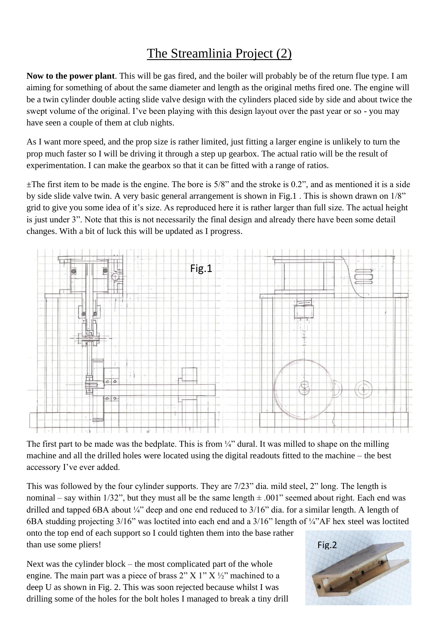## The Streamlinia Project (2)

**Now to the power plant**. This will be gas fired, and the boiler will probably be of the return flue type. I am aiming for something of about the same diameter and length as the original meths fired one. The engine will be a twin cylinder double acting slide valve design with the cylinders placed side by side and about twice the swept volume of the original. I've been playing with this design layout over the past year or so - you may have seen a couple of them at club nights.

As I want more speed, and the prop size is rather limited, just fitting a larger engine is unlikely to turn the prop much faster so I will be driving it through a step up gearbox. The actual ratio will be the result of experimentation. I can make the gearbox so that it can be fitted with a range of ratios.

 $\pm$ The first item to be made is the engine. The bore is 5/8" and the stroke is 0.2", and as mentioned it is a side by side slide valve twin. A very basic general arrangement is shown in Fig.1 . This is shown drawn on 1/8" grid to give you some idea of it's size. As reproduced here it is rather larger than full size. The actual height is just under 3". Note that this is not necessarily the final design and already there have been some detail changes. With a bit of luck this will be updated as I progress.



The first part to be made was the bedplate. This is from  $\frac{1}{4}$  dural. It was milled to shape on the milling machine and all the drilled holes were located using the digital readouts fitted to the machine – the best accessory I've ever added.

This was followed by the four cylinder supports. They are 7/23" dia. mild steel, 2" long. The length is nominal – say within 1/32", but they must all be the same length  $\pm$  .001" seemed about right. Each end was drilled and tapped 6BA about ¼" deep and one end reduced to 3/16" dia. for a similar length. A length of 6BA studding projecting 3/16" was loctited into each end and a 3/16" length of ¼"AF hex steel was loctited onto the top end of each support so I could tighten them into the base rather than use some pliers!

Next was the cylinder block – the most complicated part of the whole engine. The main part was a piece of brass  $2'' X 1'' X 2''$  machined to a deep U as shown in Fig. 2. This was soon rejected because whilst I was drilling some of the holes for the bolt holes I managed to break a tiny drill